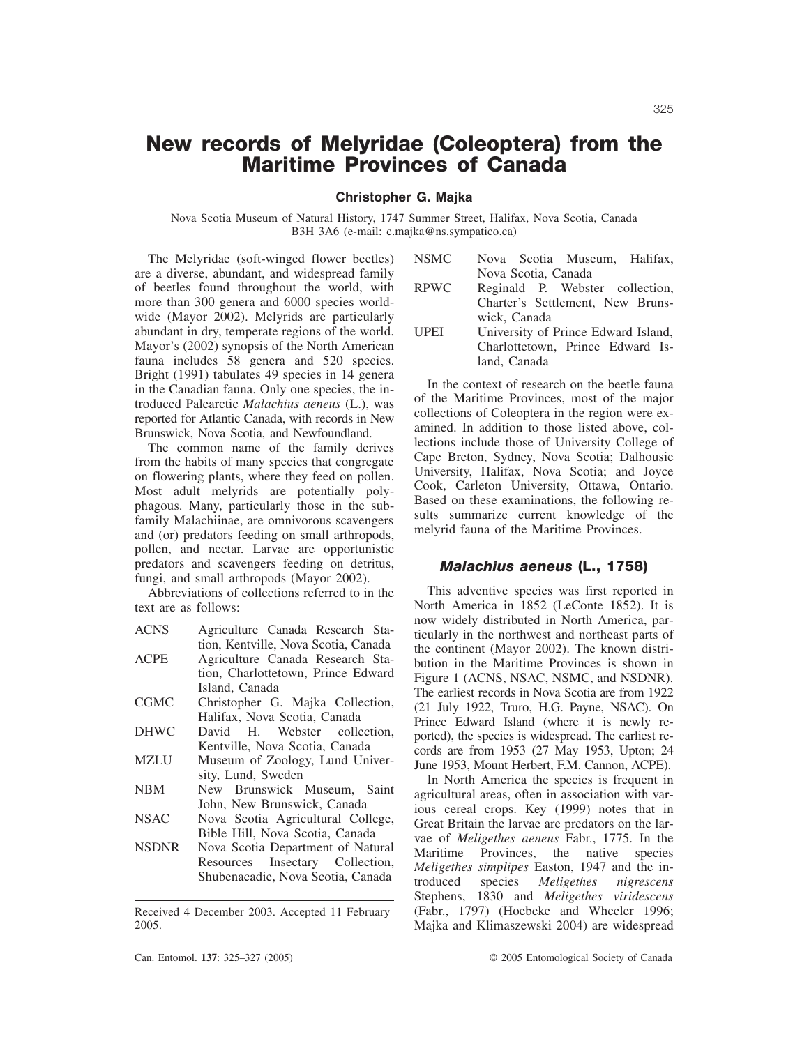# **New records of Melyridae (Coleoptera) from the Maritime Provinces of Canada**

**Christopher G. Majka**

Nova Scotia Museum of Natural History, 1747 Summer Street, Halifax, Nova Scotia, Canada B3H 3A6 (e-mail: c.majka@ns.sympatico.ca)

The Melyridae (soft-winged flower beetles) are a diverse, abundant, and widespread family of beetles found throughout the world, with more than 300 genera and 6000 species worldwide (Mayor 2002). Melyrids are particularly abundant in dry, temperate regions of the world. Mayor's (2002) synopsis of the North American fauna includes 58 genera and 520 species. Bright (1991) tabulates 49 species in 14 genera in the Canadian fauna. Only one species, the introduced Palearctic *Malachius aeneus* (L.), was reported for Atlantic Canada, with records in New Brunswick, Nova Scotia, and Newfoundland.

The common name of the family derives from the habits of many species that congregate on flowering plants, where they feed on pollen. Most adult melyrids are potentially polyphagous. Many, particularly those in the subfamily Malachiinae, are omnivorous scavengers and (or) predators feeding on small arthropods, pollen, and nectar. Larvae are opportunistic predators and scavengers feeding on detritus, fungi, and small arthropods (Mayor 2002).

Abbreviations of collections referred to in the text are as follows:

| <b>ACNS</b> | Agriculture Canada Research Sta-     |
|-------------|--------------------------------------|
|             | tion, Kentville, Nova Scotia, Canada |
| <b>ACPE</b> | Agriculture Canada Research Sta-     |
|             | tion, Charlottetown, Prince Edward   |
|             | Island. Canada                       |
| CGMC        | Christopher G. Majka Collection,     |
|             | Halifax, Nova Scotia, Canada         |
| DHWC        | David H. Webster collection,         |
|             | Kentville, Nova Scotia, Canada       |
| MZLU        | Museum of Zoology, Lund Univer-      |
|             | sity, Lund, Sweden                   |
| NBM         | New Brunswick Museum, Saint          |
|             | John, New Brunswick, Canada          |
| NSAC        | Nova Scotia Agricultural College,    |
|             | Bible Hill, Nova Scotia, Canada      |
| NSDNR       | Nova Scotia Department of Natural    |
|             | Resources Insectary Collection,      |
|             | Shubenacadie, Nova Scotia, Canada    |

Received 4 December 2003. Accepted 11 February 2005.

| <b>NSMC</b> | Nova Scotia Museum, Halifax,        |
|-------------|-------------------------------------|
|             | Nova Scotia, Canada                 |
| <b>RPWC</b> | Reginald P. Webster collection,     |
|             | Charter's Settlement, New Bruns-    |
|             | wick, Canada                        |
| <b>UPEI</b> | University of Prince Edward Island, |
|             | Charlottetown, Prince Edward Is-    |
|             | land, Canada                        |

In the context of research on the beetle fauna of the Maritime Provinces, most of the major collections of Coleoptera in the region were examined. In addition to those listed above, collections include those of University College of Cape Breton, Sydney, Nova Scotia; Dalhousie University, Halifax, Nova Scotia; and Joyce Cook, Carleton University, Ottawa, Ontario. Based on these examinations, the following results summarize current knowledge of the melyrid fauna of the Maritime Provinces.

## *Malachius aeneus* **(L., 1758)**

This adventive species was first reported in North America in 1852 (LeConte 1852). It is now widely distributed in North America, particularly in the northwest and northeast parts of the continent (Mayor 2002). The known distribution in the Maritime Provinces is shown in Figure 1 (ACNS, NSAC, NSMC, and NSDNR). The earliest records in Nova Scotia are from 1922 (21 July 1922, Truro, H.G. Payne, NSAC). On Prince Edward Island (where it is newly reported), the species is widespread. The earliest records are from 1953 (27 May 1953, Upton; 24 June 1953, Mount Herbert, F.M. Cannon, ACPE).

In North America the species is frequent in agricultural areas, often in association with various cereal crops. Key (1999) notes that in Great Britain the larvae are predators on the larvae of *Meligethes aeneus* Fabr., 1775. In the Maritime Provinces, the native species *Meligethes simplipes* Easton, 1947 and the introduced species *Meligethes nigrescens* Stephens, 1830 and *Meligethes viridescens* (Fabr., 1797) (Hoebeke and Wheeler 1996; Majka and Klimaszewski 2004) are widespread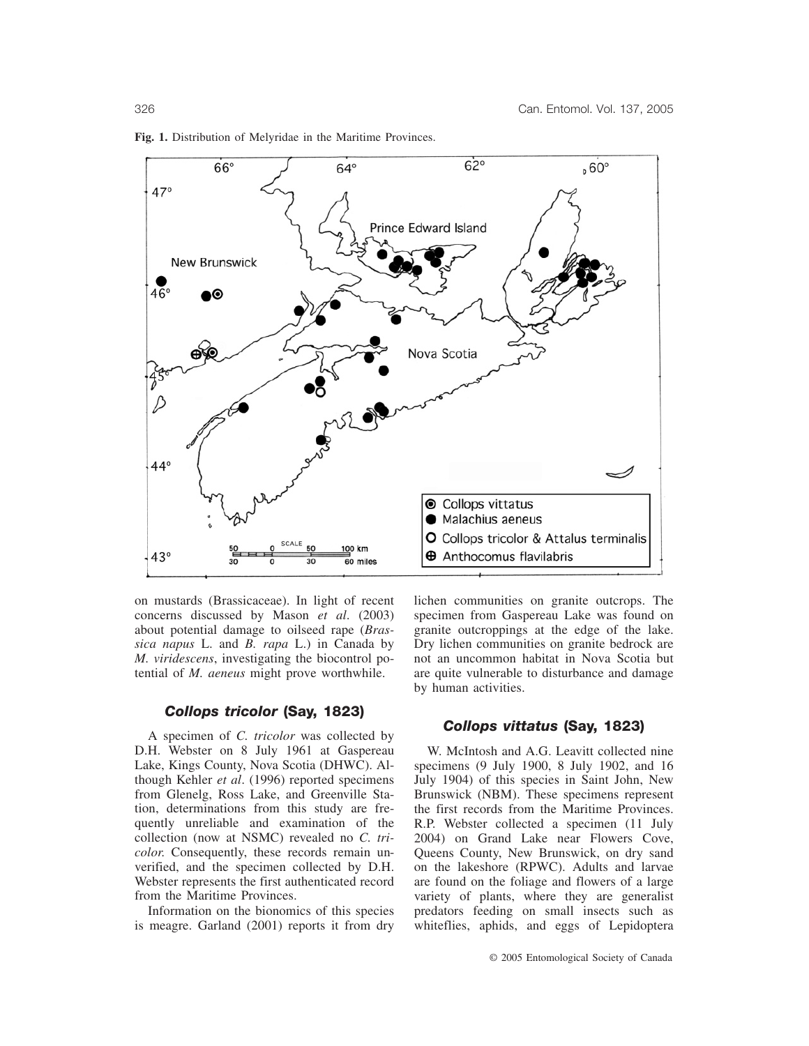

**Fig. 1.** Distribution of Melyridae in the Maritime Provinces.

on mustards (Brassicaceae). In light of recent concerns discussed by Mason *et al*. (2003) about potential damage to oilseed rape (*Brassica napus* L. and *B. rapa* L.) in Canada by *M. viridescens*, investigating the biocontrol potential of *M. aeneus* might prove worthwhile.

## *Collops tricolor* **(Say, 1823)**

A specimen of *C. tricolor* was collected by D.H. Webster on 8 July 1961 at Gaspereau Lake, Kings County, Nova Scotia (DHWC). Although Kehler *et al*. (1996) reported specimens from Glenelg, Ross Lake, and Greenville Station, determinations from this study are frequently unreliable and examination of the collection (now at NSMC) revealed no *C. tricolor*. Consequently, these records remain unverified, and the specimen collected by D.H. Webster represents the first authenticated record from the Maritime Provinces.

Information on the bionomics of this species is meagre. Garland (2001) reports it from dry

lichen communities on granite outcrops. The specimen from Gaspereau Lake was found on granite outcroppings at the edge of the lake. Dry lichen communities on granite bedrock are not an uncommon habitat in Nova Scotia but are quite vulnerable to disturbance and damage by human activities.

## *Collops vittatus* **(Say, 1823)**

W. McIntosh and A.G. Leavitt collected nine specimens (9 July 1900, 8 July 1902, and 16 July 1904) of this species in Saint John, New Brunswick (NBM). These specimens represent the first records from the Maritime Provinces. R.P. Webster collected a specimen (11 July 2004) on Grand Lake near Flowers Cove, Queens County, New Brunswick, on dry sand on the lakeshore (RPWC). Adults and larvae are found on the foliage and flowers of a large variety of plants, where they are generalist predators feeding on small insects such as whiteflies, aphids, and eggs of Lepidoptera